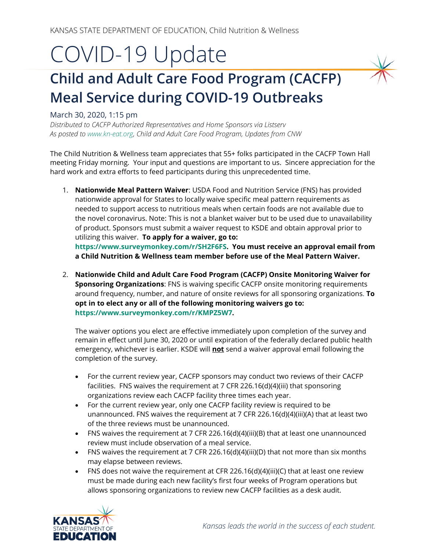# COVID-19 Update

## **Child and Adult Care Food Program (CACFP) Meal Service during COVID-19 Outbreaks**

#### March 30, 2020, 1:15 pm

*Distributed to CACFP Authorized Representatives and Home Sponsors via Listserv As posted t[o www.kn-eat.org,](http://www.kn-eat.org/) Child and Adult Care Food Program, Updates from CNW*

The Child Nutrition & Wellness team appreciates that 55+ folks participated in the CACFP Town Hall meeting Friday morning. Your input and questions are important to us. Sincere appreciation for the hard work and extra efforts to feed participants during this unprecedented time.

- 1. **Nationwide Meal Pattern Waiver**: USDA Food and Nutrition Service (FNS) has provided nationwide approval for States to locally waive specific meal pattern requirements as needed to support access to nutritious meals when certain foods are not available due to the novel coronavirus. Note: This is not a blanket waiver but to be used due to unavailability of product. Sponsors must submit a waiver request to KSDE and obtain approval prior to utilizing this waiver. **To apply for a waiver, go to: [https://www.surveymonkey.com/r/SH2F6FS.](https://www.surveymonkey.com/r/SH2F6FS) You must receive an approval email from a Child Nutrition & Wellness team member before use of the Meal Pattern Waiver.**
- 2. **Nationwide Child and Adult Care Food Program (CACFP) Onsite Monitoring Waiver for Sponsoring Organizations**: FNS is waiving specific CACFP onsite monitoring requirements around frequency, number, and nature of onsite reviews for all sponsoring organizations. **To opt in to elect any or all of the following monitoring waivers go to: [https://www.surveymonkey.com/r/KMPZ5W7.](https://www.surveymonkey.com/r/KMPZ5W7)**

The waiver options you elect are effective immediately upon completion of the survey and remain in effect until June 30, 2020 or until expiration of the federally declared public health emergency, whichever is earlier. KSDE will **not** send a waiver approval email following the completion of the survey.

- For the current review year, CACFP sponsors may conduct two reviews of their CACFP facilities. FNS waives the requirement at 7 CFR 226.16(d)(4)(iii) that sponsoring organizations review each CACFP facility three times each year.
- For the current review year, only one CACFP facility review is required to be unannounced. FNS waives the requirement at 7 CFR 226.16(d)(4)(iii)(A) that at least two of the three reviews must be unannounced.
- FNS waives the requirement at 7 CFR 226.16(d)(4)(iii)(B) that at least one unannounced review must include observation of a meal service.
- FNS waives the requirement at 7 CFR 226.16(d)(4)(iii)(D) that not more than six months may elapse between reviews.
- FNS does not waive the requirement at CFR 226.16(d)(4)(iii)(C) that at least one review must be made during each new facility's first four weeks of Program operations but allows sponsoring organizations to review new CACFP facilities as a desk audit.